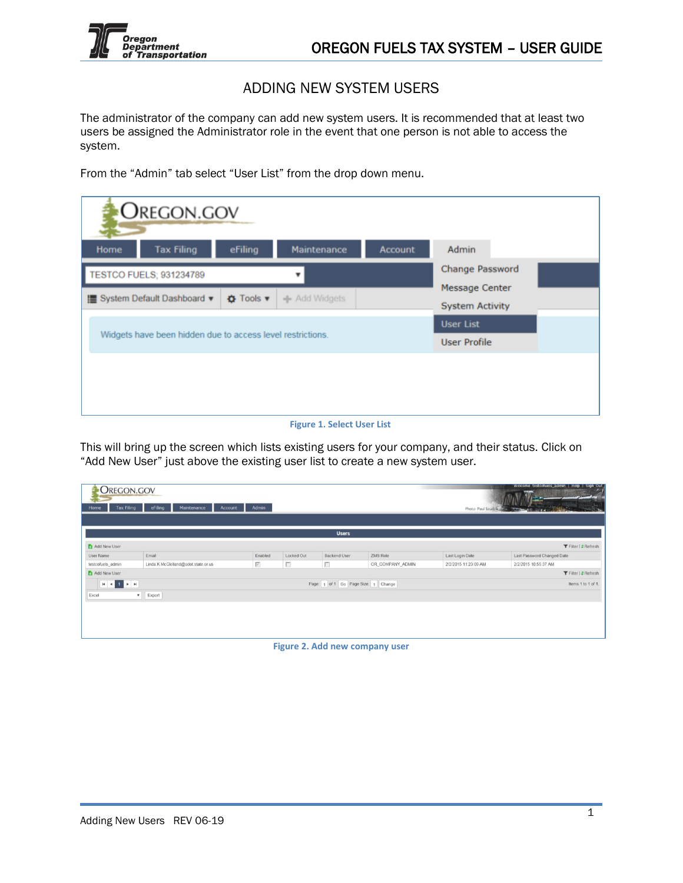

## ADDING NEW SYSTEM USERS

The administrator of the company can add new system users. It is recommended that at least two users be assigned the Administrator role in the event that one person is not able to access the system.

From the "Admin" tab select "User List" from the drop down menu.

|      | <b>OREGON.GOV</b>                                          |                  |               |                |                        |                |  |  |
|------|------------------------------------------------------------|------------------|---------------|----------------|------------------------|----------------|--|--|
| Home | <b>Tax Filing</b>                                          | eFiling          | Maintenance   | <b>Account</b> | Admin                  |                |  |  |
|      | TESTCO FUELS; 931234789                                    |                  |               |                | <b>Change Password</b> |                |  |  |
|      | I System Default Dashboard ▼                               |                  |               |                |                        | Message Center |  |  |
|      |                                                            | <b>Ö</b> Tools ▼ | - Add Widgets |                | <b>System Activity</b> |                |  |  |
|      | Widgets have been hidden due to access level restrictions. |                  |               |                |                        |                |  |  |
|      |                                                            |                  |               |                |                        |                |  |  |
|      |                                                            |                  |               |                |                        |                |  |  |
|      |                                                            |                  |               |                |                        |                |  |  |
|      |                                                            |                  |               |                |                        |                |  |  |

**Figure 1. Select User List**

This will bring up the screen which lists existing users for your company, and their status. Click on "Add New User" just above the existing user list to create a new system user.

| Welcome testcofuels admin   Help   Sign Out<br><b>OREGON.GOV</b><br>Admin<br>Home<br><b>Tax Filing</b><br>eFiling<br>Maintenance<br>Account<br>Photo: Paul Szudzik<br>$\frac{1}{2}$ |                                                           |                     |            |              |                  |                      |                             |
|-------------------------------------------------------------------------------------------------------------------------------------------------------------------------------------|-----------------------------------------------------------|---------------------|------------|--------------|------------------|----------------------|-----------------------------|
|                                                                                                                                                                                     |                                                           |                     |            | <b>Users</b> |                  |                      |                             |
| Add New User                                                                                                                                                                        |                                                           |                     |            |              |                  |                      | <b>T</b> Filter   2 Refresh |
| User Name                                                                                                                                                                           | Email                                                     | Enabled             | Locked Out | Backend User | ZMS Role         | Last Login Date      | Last Password Changed Date  |
| testcofuels_admin                                                                                                                                                                   | Linda.K.McClelland@odot.state.or.us                       | $\overline{\nabla}$ | 匝          | г            | OR_COMPANY_ADMIN | 2/2/2015 11:23:09 AM | 2/2/2015 10:55:37 AM        |
| Add New User                                                                                                                                                                        |                                                           |                     |            |              |                  |                      | Filter   2 Refresh          |
|                                                                                                                                                                                     | Page: 1 of 1 Go Page Size: 1 Change<br>Items 1 to 1 of 1. |                     |            |              |                  |                      |                             |
| Excel<br>$\bullet$ Export                                                                                                                                                           |                                                           |                     |            |              |                  |                      |                             |
|                                                                                                                                                                                     |                                                           |                     |            |              |                  |                      |                             |
|                                                                                                                                                                                     |                                                           |                     |            |              |                  |                      |                             |
|                                                                                                                                                                                     |                                                           |                     |            |              |                  |                      |                             |
|                                                                                                                                                                                     |                                                           |                     |            |              |                  |                      |                             |
|                                                                                                                                                                                     |                                                           |                     |            |              |                  |                      |                             |

**Figure 2. Add new company user**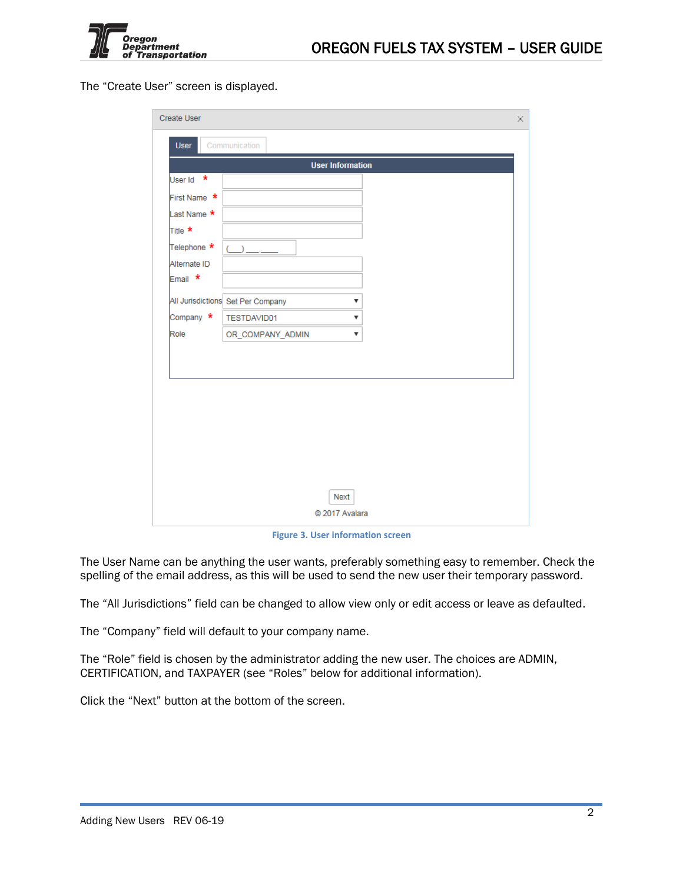

The "Create User" screen is displayed.

| Create User<br>$\times$ |                                        |  |  |  |  |
|-------------------------|----------------------------------------|--|--|--|--|
| <b>User</b>             | Communication                          |  |  |  |  |
|                         | <b>User Information</b>                |  |  |  |  |
| User Id *               |                                        |  |  |  |  |
| First Name *            |                                        |  |  |  |  |
| Last Name *             |                                        |  |  |  |  |
| Title *                 |                                        |  |  |  |  |
| Telephone *             | $\rightarrow$                          |  |  |  |  |
| Alternate ID            |                                        |  |  |  |  |
| Email *                 |                                        |  |  |  |  |
|                         | All Jurisdictions Set Per Company<br>▼ |  |  |  |  |
| Company *               | TESTDAVID01<br>▼                       |  |  |  |  |
| Role                    | OR_COMPANY_ADMIN<br>▼                  |  |  |  |  |
|                         |                                        |  |  |  |  |
|                         |                                        |  |  |  |  |
|                         |                                        |  |  |  |  |
|                         |                                        |  |  |  |  |
|                         |                                        |  |  |  |  |
|                         |                                        |  |  |  |  |
|                         |                                        |  |  |  |  |
|                         |                                        |  |  |  |  |
|                         | Next                                   |  |  |  |  |
|                         | C 2017 Avalara                         |  |  |  |  |
|                         |                                        |  |  |  |  |

**Figure 3. User information screen**

The User Name can be anything the user wants, preferably something easy to remember. Check the spelling of the email address, as this will be used to send the new user their temporary password.

The "All Jurisdictions" field can be changed to allow view only or edit access or leave as defaulted.

The "Company" field will default to your company name.

The "Role" field is chosen by the administrator adding the new user. The choices are ADMIN, CERTIFICATION, and TAXPAYER (see "Roles" below for additional information).

Click the "Next" button at the bottom of the screen.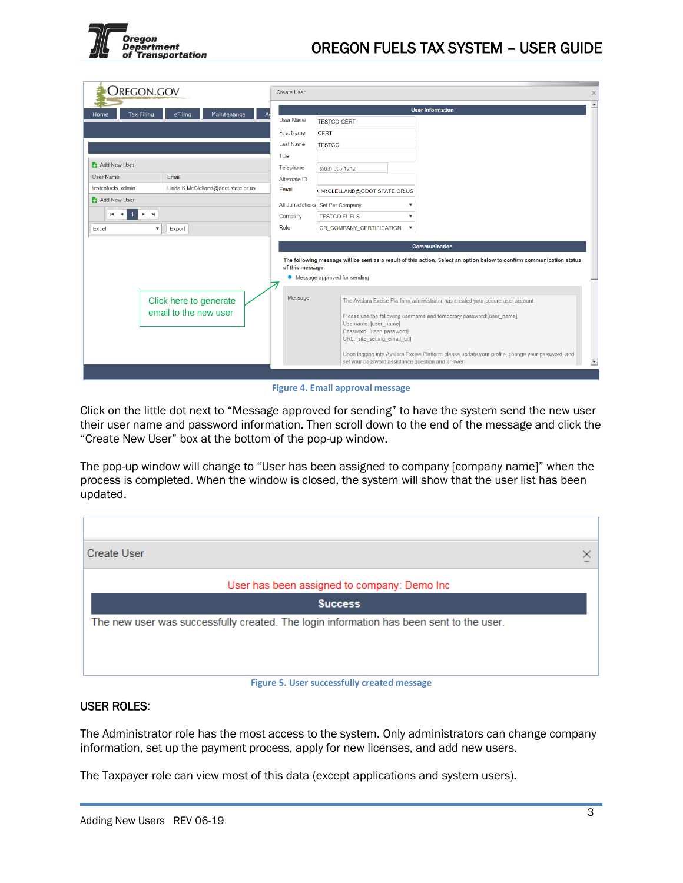

| Oregon.gov                                                                               | <b>Create User</b>                                                                                                      |                                                            | $\times$                                                                                                                |  |  |  |
|------------------------------------------------------------------------------------------|-------------------------------------------------------------------------------------------------------------------------|------------------------------------------------------------|-------------------------------------------------------------------------------------------------------------------------|--|--|--|
| <b>Tax Filing</b><br>eFiling<br>Maintenance<br>Home<br>$\mathsf{A}$                      |                                                                                                                         | <b>User Information</b>                                    |                                                                                                                         |  |  |  |
|                                                                                          | <b>User Name</b>                                                                                                        | <b>TESTCO-CERT</b>                                         |                                                                                                                         |  |  |  |
|                                                                                          | <b>First Name</b>                                                                                                       | <b>CERT</b>                                                |                                                                                                                         |  |  |  |
|                                                                                          | <b>Last Name</b>                                                                                                        | <b>TESTCO</b>                                              |                                                                                                                         |  |  |  |
|                                                                                          | Title                                                                                                                   |                                                            |                                                                                                                         |  |  |  |
| Add New User                                                                             | Telephone                                                                                                               | (503) 555.1212                                             |                                                                                                                         |  |  |  |
| <b>User Name</b><br>Email                                                                | Alternate ID                                                                                                            |                                                            |                                                                                                                         |  |  |  |
| testcofuels admin<br>Linda.K.McClelland@odot.state.or.us                                 | Email                                                                                                                   | K.McCLELLAND@ODOT.STATE.OR.US                              |                                                                                                                         |  |  |  |
| Add New User                                                                             |                                                                                                                         | All Jurisdictions Set Per Company                          |                                                                                                                         |  |  |  |
| $\mathbb{H}$<br>$\overline{1}$<br>$\mathbf{r}$<br>$\blacksquare$<br>$\blacktriangleleft$ | Company                                                                                                                 | <b>TESTCO FUELS</b>                                        |                                                                                                                         |  |  |  |
| Export<br>Excel<br>$\overline{\mathbf{v}}$                                               | Role                                                                                                                    | OR_COMPANY_CERTIFICATION                                   | $\boldsymbol{\mathrm{v}}$                                                                                               |  |  |  |
|                                                                                          |                                                                                                                         |                                                            |                                                                                                                         |  |  |  |
|                                                                                          |                                                                                                                         |                                                            | <b>Communication</b>                                                                                                    |  |  |  |
|                                                                                          |                                                                                                                         |                                                            | The following message will be sent as a result of this action. Select an option below to confirm communication status   |  |  |  |
|                                                                                          | of this message.                                                                                                        | • Message approved for sending                             |                                                                                                                         |  |  |  |
|                                                                                          |                                                                                                                         |                                                            |                                                                                                                         |  |  |  |
| Click here to generate                                                                   | Message                                                                                                                 |                                                            | The Avalara Excise Platform administrator has created your secure user account.                                         |  |  |  |
|                                                                                          | email to the new user<br>Please use the following username and temporary password: [user name]<br>Username: [user_name] |                                                            |                                                                                                                         |  |  |  |
|                                                                                          |                                                                                                                         | Password: [user password]<br>URL: [site setting email url] |                                                                                                                         |  |  |  |
|                                                                                          |                                                                                                                         |                                                            |                                                                                                                         |  |  |  |
|                                                                                          |                                                                                                                         | set your password assistance question and answer.          | Upon logging into Avalara Excise Platform please update your profile, change your password, and<br>$\blacktriangledown$ |  |  |  |
|                                                                                          |                                                                                                                         |                                                            |                                                                                                                         |  |  |  |

**Figure 4. Email approval message**

Click on the little dot next to "Message approved for sending" to have the system send the new user their user name and password information. Then scroll down to the end of the message and click the "Create New User" box at the bottom of the pop-up window.

The pop-up window will change to "User has been assigned to company [company name]" when the process is completed. When the window is closed, the system will show that the user list has been updated.

| <b>Create User</b>                                                                      |  |  |  |  |  |
|-----------------------------------------------------------------------------------------|--|--|--|--|--|
| User has been assigned to company: Demo Inc.                                            |  |  |  |  |  |
| <b>Success</b>                                                                          |  |  |  |  |  |
| The new user was successfully created. The login information has been sent to the user. |  |  |  |  |  |
|                                                                                         |  |  |  |  |  |
|                                                                                         |  |  |  |  |  |
| Figure 5. User successfully created message                                             |  |  |  |  |  |

## USER ROLES:

The Administrator role has the most access to the system. Only administrators can change company information, set up the payment process, apply for new licenses, and add new users.

The Taxpayer role can view most of this data (except applications and system users).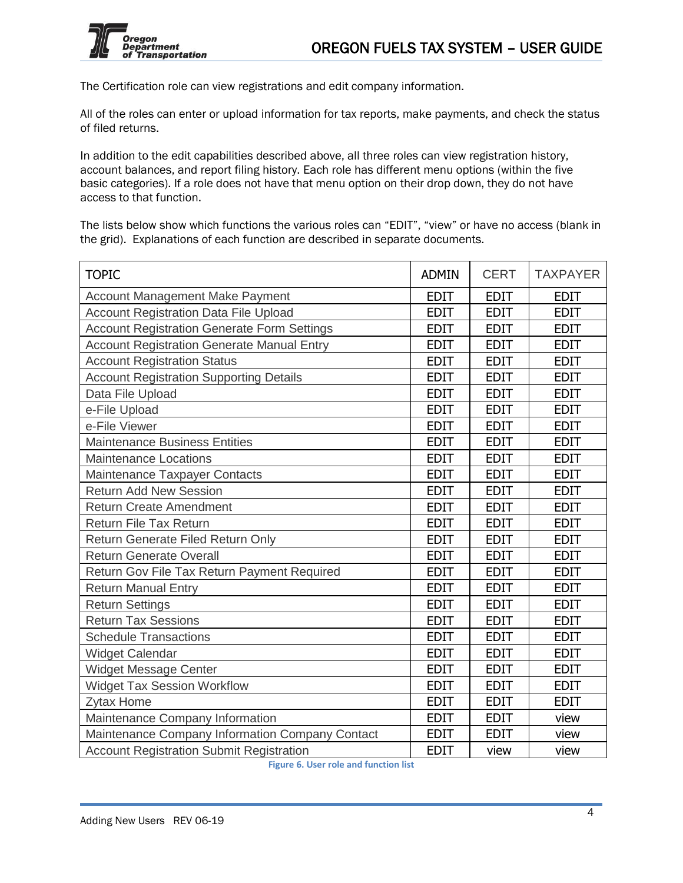

The Certification role can view registrations and edit company information.

All of the roles can enter or upload information for tax reports, make payments, and check the status of filed returns.

In addition to the edit capabilities described above, all three roles can view registration history, account balances, and report filing history. Each role has different menu options (within the five basic categories). If a role does not have that menu option on their drop down, they do not have access to that function.

The lists below show which functions the various roles can "EDIT", "view" or have no access (blank in the grid). Explanations of each function are described in separate documents.

| <b>TOPIC</b>                                       | <b>ADMIN</b> | <b>CERT</b> | <b>TAXPAYER</b> |
|----------------------------------------------------|--------------|-------------|-----------------|
| <b>Account Management Make Payment</b>             | <b>EDIT</b>  | <b>EDIT</b> | <b>EDIT</b>     |
| Account Registration Data File Upload              | <b>EDIT</b>  | <b>EDIT</b> | <b>EDIT</b>     |
| <b>Account Registration Generate Form Settings</b> | <b>EDIT</b>  | <b>EDIT</b> | <b>EDIT</b>     |
| <b>Account Registration Generate Manual Entry</b>  | <b>EDIT</b>  | <b>EDIT</b> | <b>EDIT</b>     |
| <b>Account Registration Status</b>                 | <b>EDIT</b>  | <b>EDIT</b> | <b>EDIT</b>     |
| <b>Account Registration Supporting Details</b>     | <b>EDIT</b>  | <b>EDIT</b> | <b>EDIT</b>     |
| Data File Upload                                   | <b>EDIT</b>  | <b>EDIT</b> | <b>EDIT</b>     |
| e-File Upload                                      | <b>EDIT</b>  | <b>EDIT</b> | <b>EDIT</b>     |
| e-File Viewer                                      | <b>EDIT</b>  | <b>EDIT</b> | <b>EDIT</b>     |
| <b>Maintenance Business Entities</b>               | <b>EDIT</b>  | <b>EDIT</b> | <b>EDIT</b>     |
| <b>Maintenance Locations</b>                       | <b>EDIT</b>  | <b>EDIT</b> | <b>EDIT</b>     |
| Maintenance Taxpayer Contacts                      | <b>EDIT</b>  | <b>EDIT</b> | <b>EDIT</b>     |
| <b>Return Add New Session</b>                      | <b>EDIT</b>  | <b>EDIT</b> | <b>EDIT</b>     |
| <b>Return Create Amendment</b>                     | <b>EDIT</b>  | <b>EDIT</b> | <b>EDIT</b>     |
| <b>Return File Tax Return</b>                      | <b>EDIT</b>  | <b>EDIT</b> | <b>EDIT</b>     |
| Return Generate Filed Return Only                  | <b>EDIT</b>  | <b>EDIT</b> | <b>EDIT</b>     |
| <b>Return Generate Overall</b>                     | <b>EDIT</b>  | <b>EDIT</b> | <b>EDIT</b>     |
| Return Gov File Tax Return Payment Required        | <b>EDIT</b>  | <b>EDIT</b> | <b>EDIT</b>     |
| <b>Return Manual Entry</b>                         | <b>EDIT</b>  | <b>EDIT</b> | <b>EDIT</b>     |
| <b>Return Settings</b>                             | <b>EDIT</b>  | <b>EDIT</b> | <b>EDIT</b>     |
| <b>Return Tax Sessions</b>                         | <b>EDIT</b>  | <b>EDIT</b> | <b>EDIT</b>     |
| <b>Schedule Transactions</b>                       | <b>EDIT</b>  | <b>EDIT</b> | <b>EDIT</b>     |
| <b>Widget Calendar</b>                             | <b>EDIT</b>  | <b>EDIT</b> | <b>EDIT</b>     |
| Widget Message Center                              | <b>EDIT</b>  | <b>EDIT</b> | <b>EDIT</b>     |
| <b>Widget Tax Session Workflow</b>                 | <b>EDIT</b>  | <b>EDIT</b> | <b>EDIT</b>     |
| Zytax Home                                         | <b>EDIT</b>  | <b>EDIT</b> | <b>EDIT</b>     |
| Maintenance Company Information                    | <b>EDIT</b>  | <b>EDIT</b> | view            |
| Maintenance Company Information Company Contact    | <b>EDIT</b>  | <b>EDIT</b> | view            |
| <b>Account Registration Submit Registration</b>    | <b>EDIT</b>  | view        | view            |

**Figure 6. User role and function list**